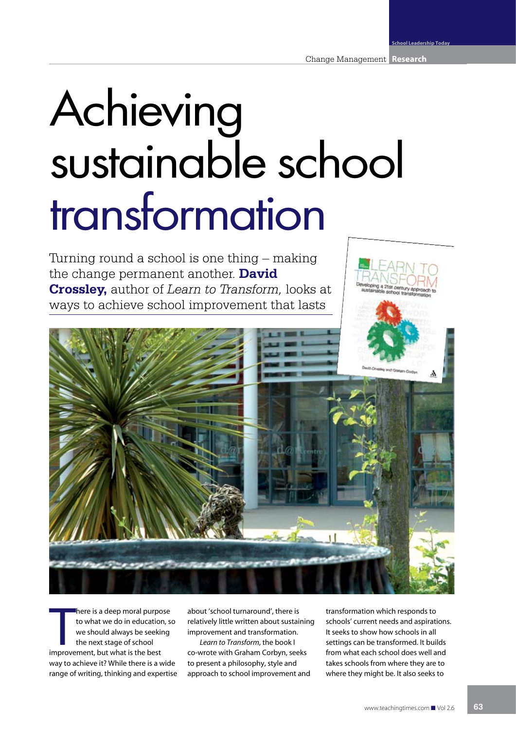## Achieving sustainable school transformation

Turning round a school is one thing – making the change permanent another. **David Crossley,** author of *Learn to Transform,* looks at ways to achieve school improvement that lasts



**Example 18 a** deep moral purpo<br>to what we do in education<br>we should always be seekin<br>the next stage of school<br>improvement, but what is the best here is a deep moral purpose to what we do in education, so we should always be seeking the next stage of school way to achieve it? While there is a wide range of writing, thinking and expertise

about 'school turnaround', there is relatively little written about sustaining improvement and transformation.

*Learn to Transform*, the book I co-wrote with Graham Corbyn, seeks to present a philosophy, style and approach to school improvement and

transformation which responds to schools' current needs and aspirations. It seeks to show how schools in all settings can be transformed. It builds from what each school does well and takes schools from where they are to where they might be. It also seeks to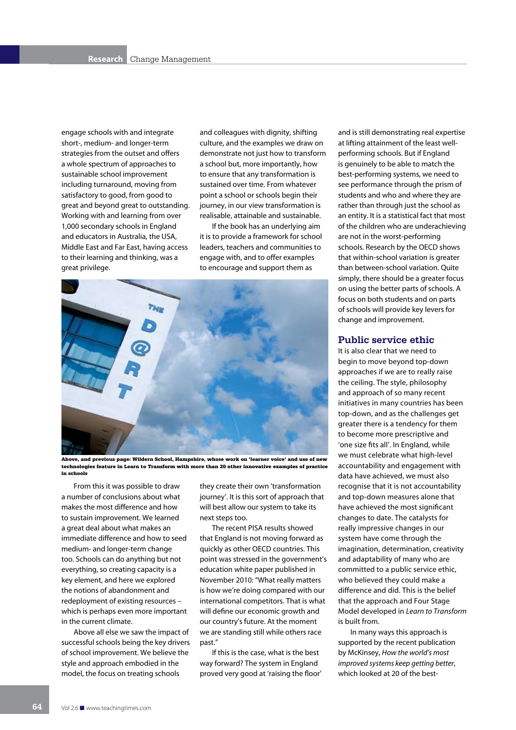engage schools with and integrate short-, medium- and longer-term strategies from the outset and offers a whole spectrum of approaches to sustainable school improvement including turnaround, moving from satisfactory to good, from good to great and beyond great to outstanding. Working with and learning from over 1,000 secondary schools in England and educators in Australia, the USA, Middle East and Far East, having access to their learning and thinking, was a great privilege.

and colleagues with dignity, shifting culture, and the examples we draw on demonstrate not just how to transform a school but, more importantly, how to ensure that any transformation is sustained over time. From whatever point a school or schools begin their journey, in our view transformation is realisable, attainable and sustainable.

If the book has an underlying aim it is to provide a framework for school leaders, teachers and communities to engage with, and to offer examples to encourage and support them as



Above, and previous page: Wildern School, Hampshire, whose work on 'learner voice' and use of new technologies feature in Learn to Transform with more than 20 other innovative examples of practice in schools

From this it was possible to draw a number of conclusions about what makes the most difference and how to sustain improvement. We learned a great deal about what makes an immediate difference and how to seed medium- and longer-term change too. Schools can do anything but not everything, so creating capacity is a key element, and here we explored the notions of abandonment and redeployment of existing resources – which is perhaps even more important in the current climate.

Above all else we saw the impact of successful schools being the key drivers of school improvement. We believe the style and approach embodied in the model, the focus on treating schools

they create their own 'transformation journey'. It is this sort of approach that will best allow our system to take its next steps too.

The recent PISA results showed that England is not moving forward as quickly as other OECD countries. This point was stressed in the government's education white paper published in November 2010: "What really matters is how we're doing compared with our international competitors. That is what will define our economic growth and our country's future. At the moment we are standing still while others race past."

If this is the case, what is the best way forward? The system in England proved very good at 'raising the floor' and is still demonstrating real expertise at lifting attainment of the least wellperforming schools. But if England is genuinely to be able to match the best-performing systems, we need to see performance through the prism of students and who and where they are rather than through just the school as an entity. It is a statistical fact that most of the children who are underachieving are not in the worst-performing schools. Research by the OECD shows that within-school variation is greater than between-school variation. Quite simply, there should be a greater focus on using the better parts of schools. A focus on both students and on parts of schools will provide key levers for change and improvement.

## **Public service ethic**

It is also clear that we need to begin to move beyond top-down approaches if we are to really raise the ceiling. The style, philosophy and approach of so many recent initiatives in many countries has been top-down, and as the challenges get greater there is a tendency for them to become more prescriptive and 'one size fits all'. In England, while we must celebrate what high-level accountability and engagement with data have achieved, we must also recognise that it is not accountability and top-down measures alone that have achieved the most significant changes to date. The catalysts for really impressive changes in our system have come through the imagination, determination, creativity and adaptability of many who are committed to a public service ethic, who believed they could make a difference and did. This is the belief that the approach and Four Stage Model developed in *Learn to Transform* is built from.

In many ways this approach is supported by the recent publication by McKinsey, *How the world's most improved systems keep getting better*, which looked at 20 of the best-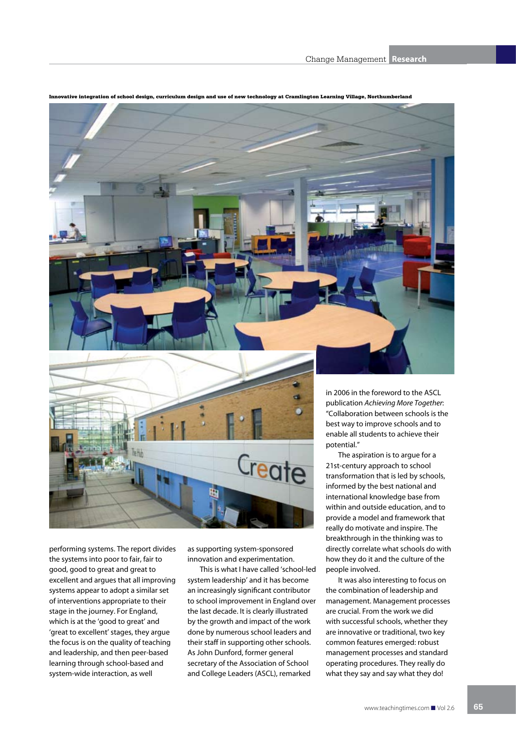

Innovative integration of school design, curriculum design and use of new technology at Cramlington Learning Village, Northumberland

performing systems. The report divides the systems into poor to fair, fair to good, good to great and great to excellent and argues that all improving systems appear to adopt a similar set of interventions appropriate to their stage in the journey. For England, which is at the 'good to great' and 'great to excellent' stages, they argue the focus is on the quality of teaching and leadership, and then peer-based learning through school-based and system-wide interaction, as well

as supporting system-sponsored innovation and experimentation.

This is what I have called 'school-led system leadership' and it has become an increasingly significant contributor to school improvement in England over the last decade. It is clearly illustrated by the growth and impact of the work done by numerous school leaders and their staff in supporting other schools. As John Dunford, former general secretary of the Association of School and College Leaders (ASCL), remarked

publication *Achieving More Together*: "Collaboration between schools is the

international knowledge base from within and outside education, and to provide a model and framework that really do motivate and inspire. The breakthrough in the thinking was to directly correlate what schools do with how they do it and the culture of the people involved.

It was also interesting to focus on the combination of leadership and management. Management processes are crucial. From the work we did with successful schools, whether they are innovative or traditional, two key common features emerged: robust management processes and standard operating procedures. They really do what they say and say what they do!